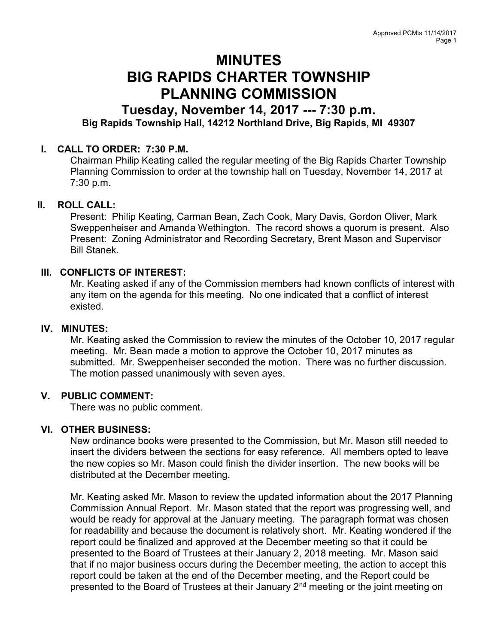# MINUTES BIG RAPIDS CHARTER TOWNSHIP PLANNING COMMISSION

# Tuesday, November 14, 2017 --- 7:30 p.m. Big Rapids Township Hall, 14212 Northland Drive, Big Rapids, MI 49307

### I. CALL TO ORDER: 7:30 P.M.

Chairman Philip Keating called the regular meeting of the Big Rapids Charter Township Planning Commission to order at the township hall on Tuesday, November 14, 2017 at 7:30 p.m.

#### II. ROLL CALL:

Present: Philip Keating, Carman Bean, Zach Cook, Mary Davis, Gordon Oliver, Mark Sweppenheiser and Amanda Wethington. The record shows a quorum is present. Also Present: Zoning Administrator and Recording Secretary, Brent Mason and Supervisor Bill Stanek.

#### III. CONFLICTS OF INTEREST:

Mr. Keating asked if any of the Commission members had known conflicts of interest with any item on the agenda for this meeting. No one indicated that a conflict of interest existed.

#### IV. MINUTES:

Mr. Keating asked the Commission to review the minutes of the October 10, 2017 regular meeting. Mr. Bean made a motion to approve the October 10, 2017 minutes as submitted. Mr. Sweppenheiser seconded the motion. There was no further discussion. The motion passed unanimously with seven ayes.

#### V. PUBLIC COMMENT:

There was no public comment.

#### VI. OTHER BUSINESS:

New ordinance books were presented to the Commission, but Mr. Mason still needed to insert the dividers between the sections for easy reference. All members opted to leave the new copies so Mr. Mason could finish the divider insertion. The new books will be distributed at the December meeting.

Mr. Keating asked Mr. Mason to review the updated information about the 2017 Planning Commission Annual Report. Mr. Mason stated that the report was progressing well, and would be ready for approval at the January meeting. The paragraph format was chosen for readability and because the document is relatively short. Mr. Keating wondered if the report could be finalized and approved at the December meeting so that it could be presented to the Board of Trustees at their January 2, 2018 meeting. Mr. Mason said that if no major business occurs during the December meeting, the action to accept this report could be taken at the end of the December meeting, and the Report could be presented to the Board of Trustees at their January 2<sup>nd</sup> meeting or the joint meeting on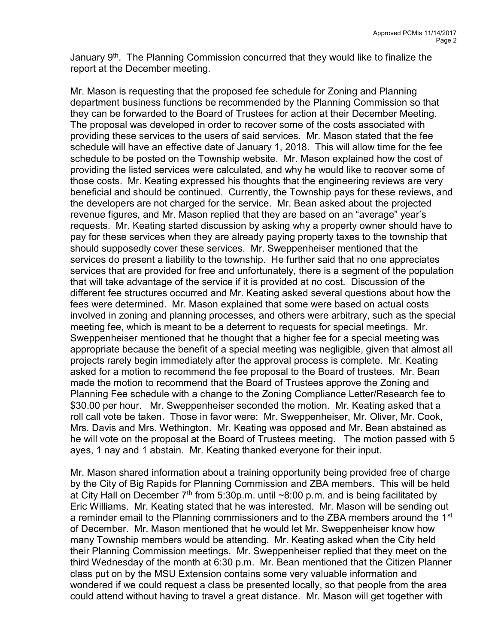January  $9<sup>th</sup>$ . The Planning Commission concurred that they would like to finalize the report at the December meeting.

Mr. Mason is requesting that the proposed fee schedule for Zoning and Planning department business functions be recommended by the Planning Commission so that they can be forwarded to the Board of Trustees for action at their December Meeting. The proposal was developed in order to recover some of the costs associated with providing these services to the users of said services. Mr. Mason stated that the fee schedule will have an effective date of January 1, 2018. This will allow time for the fee schedule to be posted on the Township website. Mr. Mason explained how the cost of providing the listed services were calculated, and why he would like to recover some of those costs. Mr. Keating expressed his thoughts that the engineering reviews are very beneficial and should be continued. Currently, the Township pays for these reviews, and the developers are not charged for the service. Mr. Bean asked about the projected revenue figures, and Mr. Mason replied that they are based on an "average" year's requests. Mr. Keating started discussion by asking why a property owner should have to pay for these services when they are already paying property taxes to the township that should supposedly cover these services. Mr. Sweppenheiser mentioned that the services do present a liability to the township. He further said that no one appreciates services that are provided for free and unfortunately, there is a segment of the population that will take advantage of the service if it is provided at no cost. Discussion of the different fee structures occurred and Mr. Keating asked several questions about how the fees were determined. Mr. Mason explained that some were based on actual costs involved in zoning and planning processes, and others were arbitrary, such as the special meeting fee, which is meant to be a deterrent to requests for special meetings. Mr. Sweppenheiser mentioned that he thought that a higher fee for a special meeting was appropriate because the benefit of a special meeting was negligible, given that almost all projects rarely begin immediately after the approval process is complete. Mr. Keating asked for a motion to recommend the fee proposal to the Board of trustees. Mr. Bean made the motion to recommend that the Board of Trustees approve the Zoning and Planning Fee schedule with a change to the Zoning Compliance Letter/Research fee to \$30.00 per hour. Mr. Sweppenheiser seconded the motion. Mr. Keating asked that a roll call vote be taken. Those in favor were: Mr. Sweppenheiser, Mr. Oliver, Mr. Cook, Mrs. Davis and Mrs. Wethington. Mr. Keating was opposed and Mr. Bean abstained as he will vote on the proposal at the Board of Trustees meeting. The motion passed with 5 ayes, 1 nay and 1 abstain. Mr. Keating thanked everyone for their input.

Mr. Mason shared information about a training opportunity being provided free of charge by the City of Big Rapids for Planning Commission and ZBA members. This will be held at City Hall on December  $7<sup>th</sup>$  from 5:30p.m. until ~8:00 p.m. and is being facilitated by Eric Williams. Mr. Keating stated that he was interested. Mr. Mason will be sending out a reminder email to the Planning commissioners and to the ZBA members around the 1<sup>st</sup> of December. Mr. Mason mentioned that he would let Mr. Sweppenheiser know how many Township members would be attending. Mr. Keating asked when the City held their Planning Commission meetings. Mr. Sweppenheiser replied that they meet on the third Wednesday of the month at 6:30 p.m. Mr. Bean mentioned that the Citizen Planner class put on by the MSU Extension contains some very valuable information and wondered if we could request a class be presented locally, so that people from the area could attend without having to travel a great distance. Mr. Mason will get together with